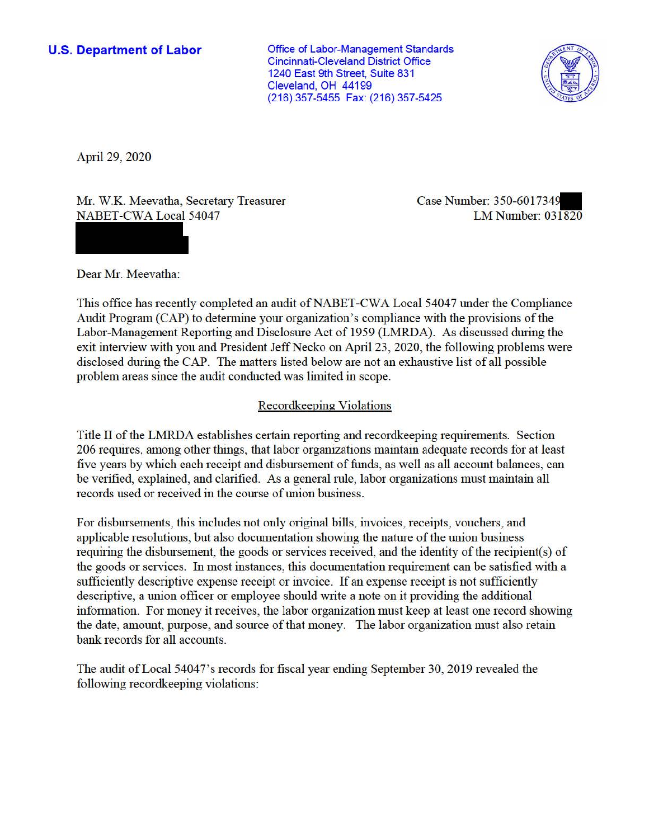**U.S. Department of Labor Conservative Conservation Conservative Conservation Conservation Conservation** Cincinnati-Cleveland District Office 1240 East 9th Street, Suite 831 Cleveland, OH 44199 (216) 357-5455 Fax: (216) 357-5425



April 29, 2020

Mr. W.K. Meevatha, Secretary Treasurer NABET-CWA Local 54047

Case Number: 350-6017349 LM Number: 031820

Dear Mr. Meevatha:

This office has recently completed an audit of NABET-CWA Local 54047 under the Compliance Audit Program (CAP) to determine your organization 's compliance with the provisions of the Labor-Management Reporting and Disclosure Act of 1959 (LMRDA). As discussed during the exit interview with you and President Jeff Necko on April 23, 2020, the following problems were disclosed during the CAP. The matters listed below are not an exhaustive list of all possible problem areas since the audit conducted was limited in scope.

# Recordkeeping Violations

Title II of the LMRDA establishes certain reporting and recordkeeping requirements. Section 206 requires, among other things, that labor organizations maintain adequate records for at least five years by which each receipt and disbursement of funds, as well as all account balances, can be verified, explained, and clarified. As a general rule, labor organizations must maintain all records used or received in the course of union business.

For disbursements, this includes not only original bills, invoices, receipts, vouchers, and applicable resolutions, but also documentation showing the nature of the union business requiring the disbursement, the goods or services received, and the identity of the recipient(s) of the goods or services. In most instances, this documentation requirement can be satisfied with a sufficiently descriptive expense receipt or invoice. If an expense receipt is not sufficiently descriptive, a union officer or employee should write a note on it providing the additional information. For money it receives, the labor organization must keep at least one record showing the date, amount, purpose, and source of that money. The labor organization must also retain bank records for all accounts.

The audit ofLocal 54047's records for fiscal year ending September 30, 2019 revealed the following recordkeeping violations: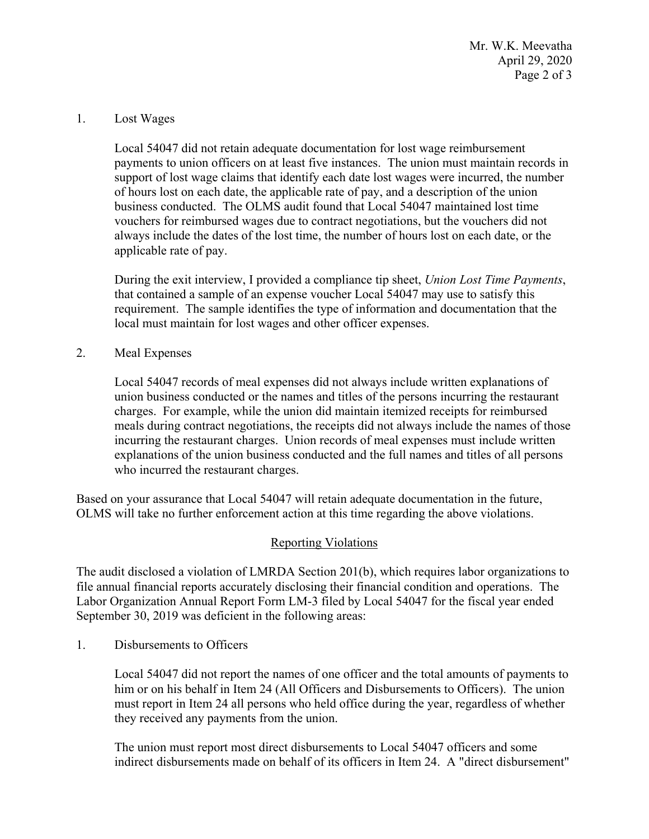Mr. W.K. Meevatha April 29, 2020 Page 2 of 3

#### 1. Lost Wages

 business conducted. The OLMS audit found that Local 54047 maintained lost time always include the dates of the lost time, the number of hours lost on each date, or the Local 54047 did not retain adequate documentation for lost wage reimbursement payments to union officers on at least five instances. The union must maintain records in support of lost wage claims that identify each date lost wages were incurred, the number of hours lost on each date, the applicable rate of pay, and a description of the union vouchers for reimbursed wages due to contract negotiations, but the vouchers did not applicable rate of pay.

During the exit interview, I provided a compliance tip sheet, *Union Lost Time Payments*, that contained a sample of an expense voucher Local 54047 may use to satisfy this requirement. The sample identifies the type of information and documentation that the local must maintain for lost wages and other officer expenses.

### 2. Meal Expenses

Local 54047 records of meal expenses did not always include written explanations of union business conducted or the names and titles of the persons incurring the restaurant charges. For example, while the union did maintain itemized receipts for reimbursed meals during contract negotiations, the receipts did not always include the names of those incurring the restaurant charges. Union records of meal expenses must include written explanations of the union business conducted and the full names and titles of all persons who incurred the restaurant charges.

Based on your assurance that Local 54047 will retain adequate documentation in the future, OLMS will take no further enforcement action at this time regarding the above violations.

## Reporting Violations

 The audit disclosed a violation of LMRDA Section 201(b), which requires labor organizations to file annual financial reports accurately disclosing their financial condition and operations. The Labor Organization Annual Report Form LM-3 filed by Local 54047 for the fiscal year ended September 30, 2019 was deficient in the following areas:

1. Disbursements to Officers

Local 54047 did not report the names of one officer and the total amounts of payments to him or on his behalf in Item 24 (All Officers and Disbursements to Officers). The union must report in Item 24 all persons who held office during the year, regardless of whether they received any payments from the union.

The union must report most direct disbursements to Local 54047 officers and some indirect disbursements made on behalf of its officers in Item 24. A "direct disbursement"